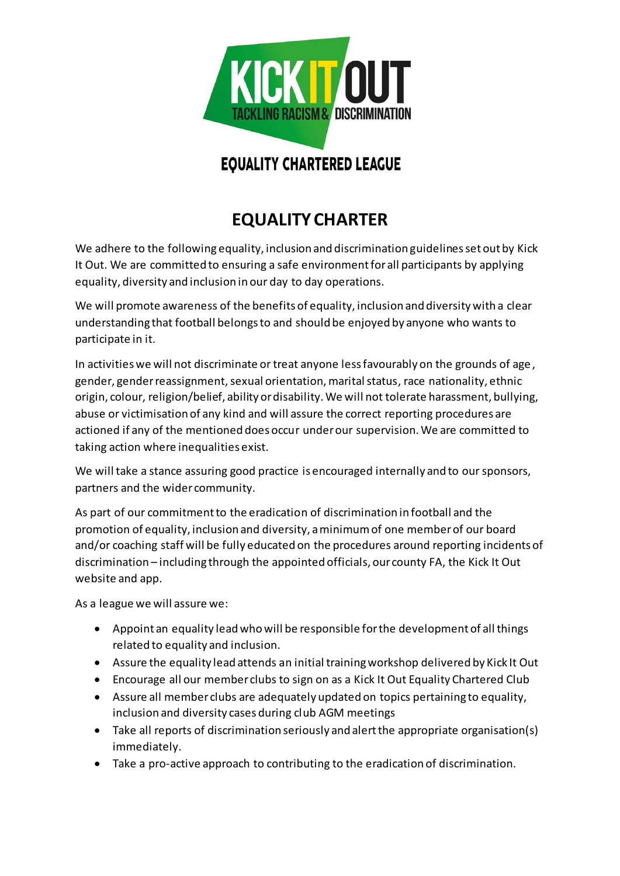

## **EQUALITY CHARTERED LEAGUE**

## **EQUALITY CHARTER**

We adhere to the following equality, inclusion and discrimination guidelines set out by Kick It Out. We are committed to ensuring a safe environment for all participants by applying equality, diversity and inclusion in our day to day operations.

We will promote awareness of the benefits of equality, inclusion and diversity with a clear understanding that football belongs to and should be enjoyed by anyone who wants to participate in it.

In activities we will not discriminate or treat anyone less favourably on the grounds of age , gender, gender reassignment, sexual orientation, marital status, race nationality, ethnic origin, colour, religion/belief, ability or disability. We will not tolerate harassment, bullying, abuse or victimisation of any kind and will assure the correct reporting procedures are actioned if any of the mentioned does occur under our supervision. We are committed to taking action where inequalities exist.

We will take a stance assuring good practice is encouraged internally and to our sponsors, partners and the wider community.

As part of our commitment to the eradication of discrimination in football and the promotion of equality, inclusion and diversity, a minimum of one member of our board and/or coaching staff will be fully educated on the procedures around reporting incidents of discrimination – including through the appointed officials, our county FA, the Kick It Out website and app.

As a league we will assure we:

- Appoint an equality lead who will be responsible for the development of all things related to equality and inclusion.
- Assure the equality lead attends an initial training workshop delivered by Kick It Out
- Encourage all our member clubs to sign on as a Kick It Out Equality Chartered Club
- Assure all member clubs are adequately updated on topics pertaining to equality, inclusion and diversity cases during club AGM meetings
- Take all reports of discrimination seriously and alert the appropriate organisation(s) immediately.
- Take a pro-active approach to contributing to the eradication of discrimination.